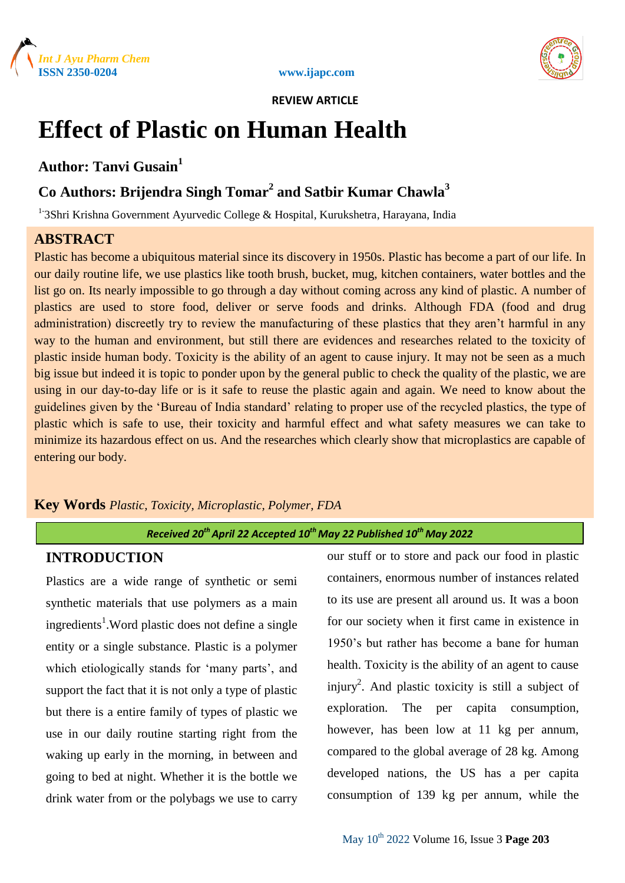



# **Effect of Plastic on Human Health**

## **Author: Tanvi Gusain<sup>1</sup>**

# **Co Authors: Brijendra Singh Tomar<sup>2</sup> and Satbir Kumar Chawla<sup>3</sup>**

<sup>1-</sup>3Shri Krishna Government Ayurvedic College & Hospital, Kurukshetra, Harayana, India

## **ABSTRACT**

Plastic has become a ubiquitous material since its discovery in 1950s. Plastic has become a part of our life. In our daily routine life, we use plastics like tooth brush, bucket, mug, kitchen containers, water bottles and the list go on. Its nearly impossible to go through a day without coming across any kind of plastic. A number of plastics are used to store food, deliver or serve foods and drinks. Although FDA (food and drug administration) discreetly try to review the manufacturing of these plastics that they aren"t harmful in any way to the human and environment, but still there are evidences and researches related to the toxicity of plastic inside human body. Toxicity is the ability of an agent to cause injury. It may not be seen as a much big issue but indeed it is topic to ponder upon by the general public to check the quality of the plastic, we are using in our day-to-day life or is it safe to reuse the plastic again and again. We need to know about the guidelines given by the "Bureau of India standard" relating to proper use of the recycled plastics, the type of plastic which is safe to use, their toxicity and harmful effect and what safety measures we can take to minimize its hazardous effect on us. And the researches which clearly show that microplastics are capable of entering our body.

## **Key Words** *Plastic, Toxicity, Microplastic, Polymer, FDA*

# *Received 20thApril 22 Accepted 10th May 22 Published 10th May 2022*

## **INTRODUCTION**

Plastics are a wide range of synthetic or semi synthetic materials that use polymers as a main ingredients<sup>1</sup>. Word plastic does not define a single entity or a single substance. Plastic is a polymer which etiologically stands for 'many parts', and support the fact that it is not only a type of plastic but there is a entire family of types of plastic we use in our daily routine starting right from the waking up early in the morning, in between and going to bed at night. Whether it is the bottle we drink water from or the polybags we use to carry

our stuff or to store and pack our food in plastic containers, enormous number of instances related to its use are present all around us. It was a boon for our society when it first came in existence in 1950"s but rather has become a bane for human health. Toxicity is the ability of an agent to cause injury<sup>2</sup>. And plastic toxicity is still a subject of exploration. The per capita consumption, however, has been low at 11 kg per annum. compared to the global average of 28 kg. Among developed nations, the US has a per capita consumption of 139 kg per annum, while the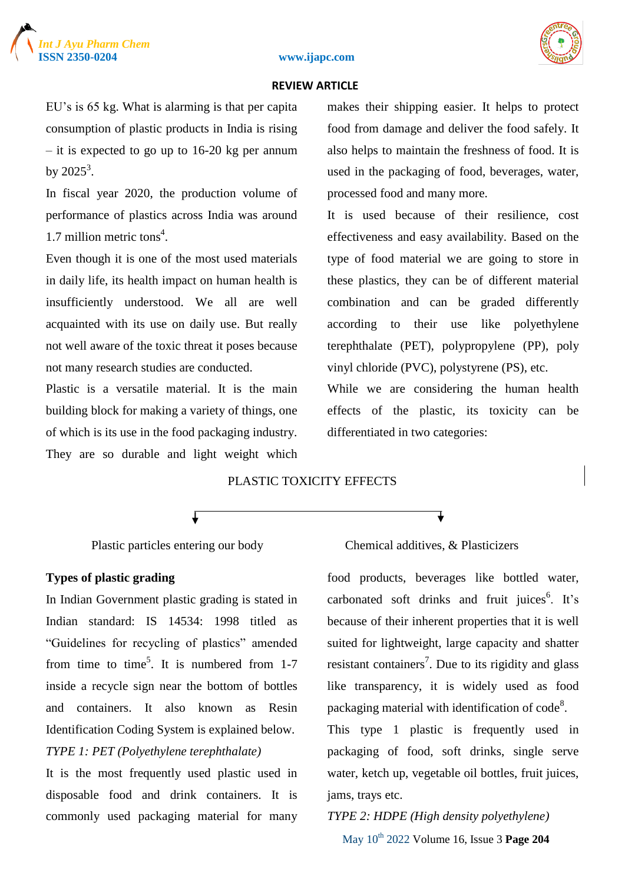

#### **ISSN 2350-0204 www.ijapc.com**



#### **REVIEW ARTICLE**

EU"s is 65 kg. What is alarming is that per capita consumption of plastic products in India is rising – it is expected to go up to 16-20 kg per annum by  $2025^3$ .

In fiscal year 2020, the production volume of performance of plastics across India was around 1.7 million metric tons<sup>4</sup>.

Even though it is one of the most used materials in daily life, its health impact on human health is insufficiently understood. We all are well acquainted with its use on daily use. But really not well aware of the toxic threat it poses because not many research studies are conducted.

Plastic is a versatile material. It is the main building block for making a variety of things, one of which is its use in the food packaging industry. They are so durable and light weight which makes their shipping easier. It helps to protect food from damage and deliver the food safely. It also helps to maintain the freshness of food. It is used in the packaging of food, beverages, water, processed food and many more.

It is used because of their resilience, cost effectiveness and easy availability. Based on the type of food material we are going to store in these plastics, they can be of different material combination and can be graded differently according to their use like polyethylene terephthalate (PET), polypropylene (PP), poly vinyl chloride (PVC), polystyrene (PS), etc.

While we are considering the human health effects of the plastic, its toxicity can be differentiated in two categories:

### PLASTIC TOXICITY EFFECTS

#### **Types of plastic grading**

In Indian Government plastic grading is stated in Indian standard: IS 14534: 1998 titled as "Guidelines for recycling of plastics" amended from time to time<sup>5</sup>. It is numbered from 1-7 inside a recycle sign near the bottom of bottles and containers. It also known as Resin Identification Coding System is explained below. *TYPE 1: PET (Polyethylene terephthalate)*

It is the most frequently used plastic used in disposable food and drink containers. It is commonly used packaging material for many

#### Plastic particles entering our body Chemical additives, & Plasticizers

food products, beverages like bottled water, carbonated soft drinks and fruit juices<sup>6</sup>. It's because of their inherent properties that it is well suited for lightweight, large capacity and shatter resistant containers<sup>7</sup>. Due to its rigidity and glass like transparency, it is widely used as food packaging material with identification of code $8$ .

This type 1 plastic is frequently used in packaging of food, soft drinks, single serve water, ketch up, vegetable oil bottles, fruit juices, jams, trays etc.

# May 10th 2022 Volume 16, Issue 3 **Page 204** *TYPE 2: HDPE (High density polyethylene)*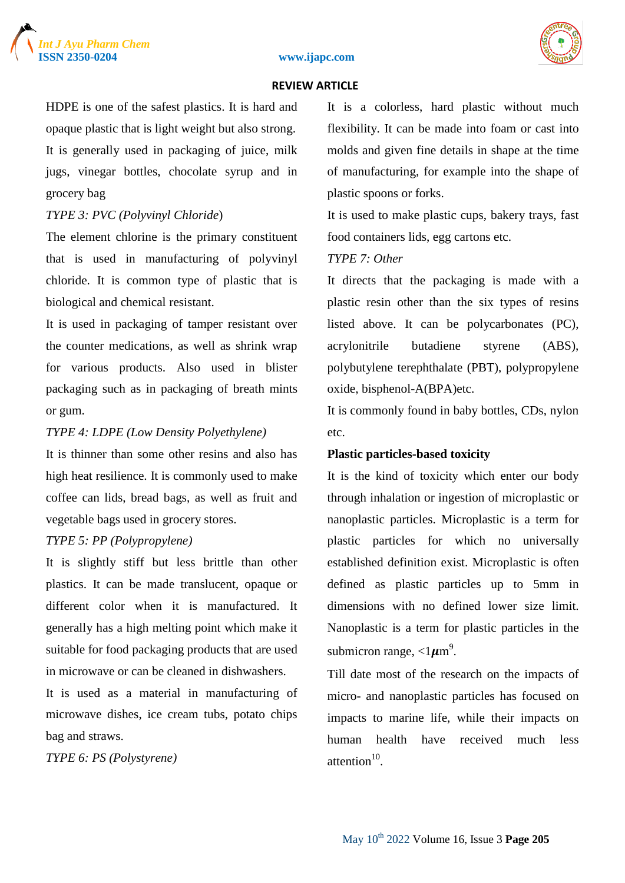





HDPE is one of the safest plastics. It is hard and opaque plastic that is light weight but also strong. It is generally used in packaging of juice, milk jugs, vinegar bottles, chocolate syrup and in grocery bag

## *TYPE 3: PVC (Polyvinyl Chloride*)

The element chlorine is the primary constituent that is used in manufacturing of polyvinyl chloride. It is common type of plastic that is biological and chemical resistant.

It is used in packaging of tamper resistant over the counter medications, as well as shrink wrap for various products. Also used in blister packaging such as in packaging of breath mints or gum.

## *TYPE 4: LDPE (Low Density Polyethylene)*

It is thinner than some other resins and also has high heat resilience. It is commonly used to make coffee can lids, bread bags, as well as fruit and vegetable bags used in grocery stores.

#### *TYPE 5: PP (Polypropylene)*

It is slightly stiff but less brittle than other plastics. It can be made translucent, opaque or different color when it is manufactured. It generally has a high melting point which make it suitable for food packaging products that are used in microwave or can be cleaned in dishwashers.

It is used as a material in manufacturing of microwave dishes, ice cream tubs, potato chips bag and straws.

*TYPE 6: PS (Polystyrene)* 

It is a colorless, hard plastic without much flexibility. It can be made into foam or cast into molds and given fine details in shape at the time of manufacturing, for example into the shape of plastic spoons or forks.

It is used to make plastic cups, bakery trays, fast food containers lids, egg cartons etc.

## *TYPE 7: Other*

It directs that the packaging is made with a plastic resin other than the six types of resins listed above. It can be polycarbonates (PC), acrylonitrile butadiene styrene (ABS), polybutylene terephthalate (PBT), polypropylene oxide, bisphenol-A(BPA)etc.

It is commonly found in baby bottles, CDs, nylon etc.

## **Plastic particles-based toxicity**

It is the kind of toxicity which enter our body through inhalation or ingestion of microplastic or nanoplastic particles. Microplastic is a term for plastic particles for which no universally established definition exist. Microplastic is often defined as plastic particles up to 5mm in dimensions with no defined lower size limit. Nanoplastic is a term for plastic particles in the submicron range,  $\langle 1 \mu m^9 \rangle$ .

Till date most of the research on the impacts of micro- and nanoplastic particles has focused on impacts to marine life, while their impacts on human health have received much less attention $10$ .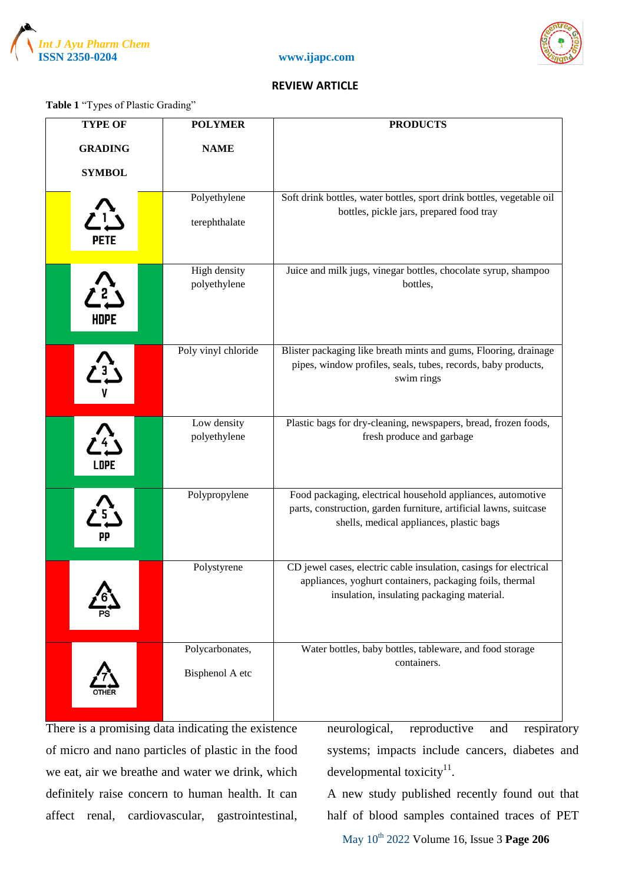





## **Table 1** "Types of Plastic Grading"

| <b>TYPE OF</b>   | <b>POLYMER</b>                     | <b>PRODUCTS</b>                                                                                                                                                              |
|------------------|------------------------------------|------------------------------------------------------------------------------------------------------------------------------------------------------------------------------|
| <b>GRADING</b>   | <b>NAME</b>                        |                                                                                                                                                                              |
| <b>SYMBOL</b>    |                                    |                                                                                                                                                                              |
| <b>PETE</b>      | Polyethylene<br>terephthalate      | Soft drink bottles, water bottles, sport drink bottles, vegetable oil<br>bottles, pickle jars, prepared food tray                                                            |
| HDPE             | High density<br>polyethylene       | Juice and milk jugs, vinegar bottles, chocolate syrup, shampoo<br>bottles,                                                                                                   |
| $\sum_{i=1}^{n}$ | Poly vinyl chloride                | Blister packaging like breath mints and gums, Flooring, drainage<br>pipes, window profiles, seals, tubes, records, baby products,<br>swim rings                              |
| LDPE             | Low density<br>polyethylene        | Plastic bags for dry-cleaning, newspapers, bread, frozen foods,<br>fresh produce and garbage                                                                                 |
| PP               | Polypropylene                      | Food packaging, electrical household appliances, automotive<br>parts, construction, garden furniture, artificial lawns, suitcase<br>shells, medical appliances, plastic bags |
|                  | Polystyrene                        | CD jewel cases, electric cable insulation, casings for electrical<br>appliances, yoghurt containers, packaging foils, thermal<br>insulation, insulating packaging material.  |
|                  | Polycarbonates,<br>Bisphenol A etc | Water bottles, baby bottles, tableware, and food storage<br>containers.                                                                                                      |

There is a promising data indicating the existence of micro and nano particles of plastic in the food we eat, air we breathe and water we drink, which definitely raise concern to human health. It can affect renal, cardiovascular, gastrointestinal, neurological, reproductive and respiratory systems; impacts include cancers, diabetes and developmental toxicity $11$ .

A new study published recently found out that half of blood samples contained traces of PET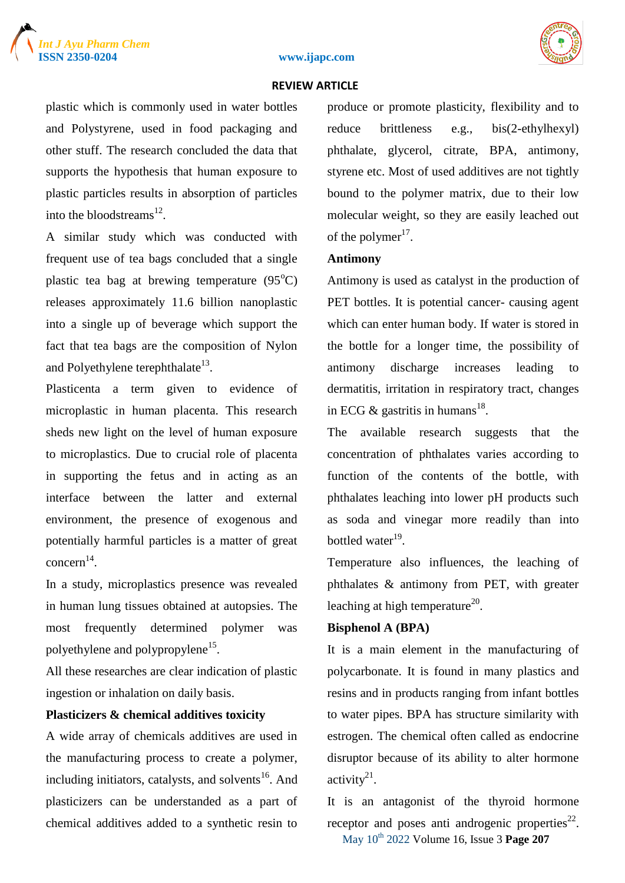





plastic which is commonly used in water bottles and Polystyrene, used in food packaging and other stuff. The research concluded the data that supports the hypothesis that human exposure to plastic particles results in absorption of particles into the bloodstreams $^{12}$ .

A similar study which was conducted with frequent use of tea bags concluded that a single plastic tea bag at brewing temperature  $(95^{\circ}C)$ releases approximately 11.6 billion nanoplastic into a single up of beverage which support the fact that tea bags are the composition of Nylon and Polyethylene terephthalate $^{13}$ .

Plasticenta a term given to evidence of microplastic in human placenta. This research sheds new light on the level of human exposure to microplastics. Due to crucial role of placenta in supporting the fetus and in acting as an interface between the latter and external environment, the presence of exogenous and potentially harmful particles is a matter of great concern 14 .

In a study, microplastics presence was revealed in human lung tissues obtained at autopsies. The most frequently determined polymer was polyethylene and polypropylene<sup>15</sup>.

All these researches are clear indication of plastic ingestion or inhalation on daily basis.

## **Plasticizers & chemical additives toxicity**

A wide array of chemicals additives are used in the manufacturing process to create a polymer, including initiators, catalysts, and solvents $^{16}$ . And plasticizers can be understanded as a part of chemical additives added to a synthetic resin to produce or promote plasticity, flexibility and to reduce brittleness e.g., bis(2-ethylhexyl) phthalate, glycerol, citrate, BPA, antimony, styrene etc. Most of used additives are not tightly bound to the polymer matrix, due to their low molecular weight, so they are easily leached out of the polymer $17$ .

## **Antimony**

Antimony is used as catalyst in the production of PET bottles. It is potential cancer- causing agent which can enter human body. If water is stored in the bottle for a longer time, the possibility of antimony discharge increases leading to dermatitis, irritation in respiratory tract, changes in ECG  $\&$  gastritis in humans<sup>18</sup>.

The available research suggests that the concentration of phthalates varies according to function of the contents of the bottle, with phthalates leaching into lower pH products such as soda and vinegar more readily than into bottled water<sup>19</sup>.

Temperature also influences, the leaching of phthalates & antimony from PET, with greater leaching at high temperature $^{20}$ .

## **Bisphenol A (BPA)**

It is a main element in the manufacturing of polycarbonate. It is found in many plastics and resins and in products ranging from infant bottles to water pipes. BPA has structure similarity with estrogen. The chemical often called as endocrine disruptor because of its ability to alter hormone activity $^{21}$ .

May 10th 2022 Volume 16, Issue 3 **Page 207** It is an antagonist of the thyroid hormone receptor and poses anti androgenic properties $^{22}$ .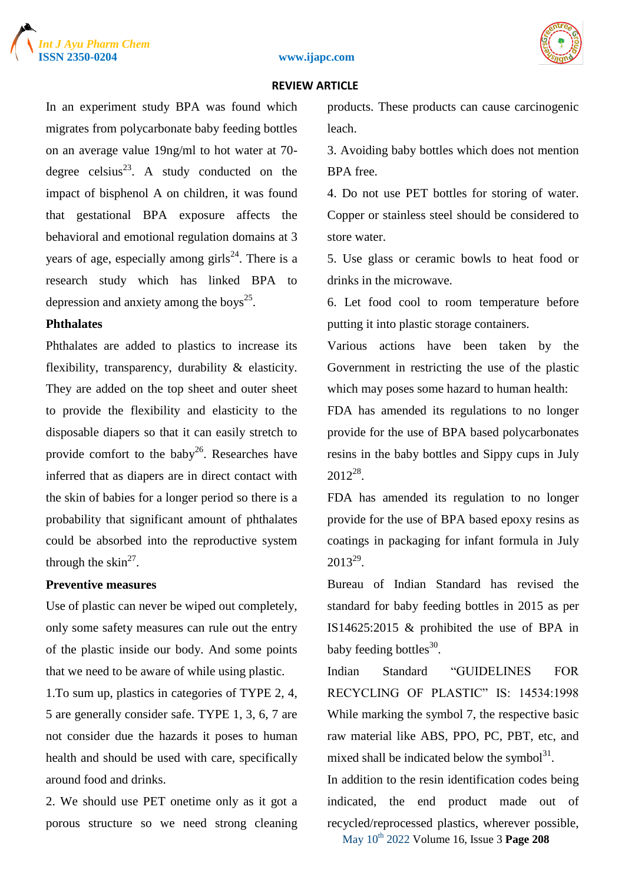





In an experiment study BPA was found which migrates from polycarbonate baby feeding bottles on an average value 19ng/ml to hot water at 70 degree celsius<sup>23</sup>. A study conducted on the impact of bisphenol A on children, it was found that gestational BPA exposure affects the behavioral and emotional regulation domains at 3 years of age, especially among girls<sup>24</sup>. There is a research study which has linked BPA to depression and anxiety among the boys<sup>25</sup>.

## **Phthalates**

Phthalates are added to plastics to increase its flexibility, transparency, durability & elasticity. They are added on the top sheet and outer sheet to provide the flexibility and elasticity to the disposable diapers so that it can easily stretch to provide comfort to the baby<sup>26</sup>. Researches have inferred that as diapers are in direct contact with the skin of babies for a longer period so there is a probability that significant amount of phthalates could be absorbed into the reproductive system through the  $\sin^{27}$ .

## **Preventive measures**

Use of plastic can never be wiped out completely, only some safety measures can rule out the entry of the plastic inside our body. And some points that we need to be aware of while using plastic.

1.To sum up, plastics in categories of TYPE 2, 4, 5 are generally consider safe. TYPE 1, 3, 6, 7 are not consider due the hazards it poses to human health and should be used with care, specifically around food and drinks.

2. We should use PET onetime only as it got a porous structure so we need strong cleaning products. These products can cause carcinogenic leach.

3. Avoiding baby bottles which does not mention BPA free.

4. Do not use PET bottles for storing of water. Copper or stainless steel should be considered to store water.

5. Use glass or ceramic bowls to heat food or drinks in the microwave.

6. Let food cool to room temperature before putting it into plastic storage containers.

Various actions have been taken by the Government in restricting the use of the plastic which may poses some hazard to human health:

FDA has amended its regulations to no longer provide for the use of BPA based polycarbonates resins in the baby bottles and Sippy cups in July  $2012^{28}$ .

FDA has amended its regulation to no longer provide for the use of BPA based epoxy resins as coatings in packaging for infant formula in July  $2013^{29}$ .

Bureau of Indian Standard has revised the standard for baby feeding bottles in 2015 as per IS14625:2015 & prohibited the use of BPA in baby feeding bottles $^{30}$ .

Indian Standard "GUIDELINES FOR RECYCLING OF PLASTIC" IS: 14534:1998 While marking the symbol 7, the respective basic raw material like ABS, PPO, PC, PBT, etc, and mixed shall be indicated below the symbol $3<sup>1</sup>$ .

In addition to the resin identification codes being indicated, the end product made out of recycled/reprocessed plastics, wherever possible,

May 10th 2022 Volume 16, Issue 3 **Page 208**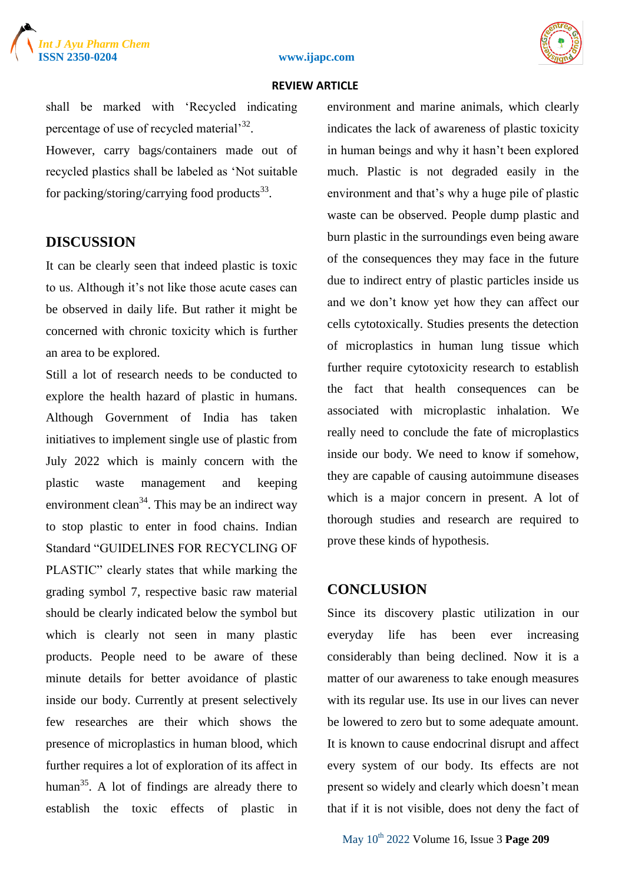



#### **ISSN 2350-0204 www.ijapc.com**

#### **REVIEW ARTICLE**

shall be marked with "Recycled indicating percentage of use of recycled material<sup>32</sup>. However, carry bags/containers made out of recycled plastics shall be labeled as "Not suitable for packing/storing/carrying food products<sup>33</sup>.

## **DISCUSSION**

It can be clearly seen that indeed plastic is toxic to us. Although it's not like those acute cases can be observed in daily life. But rather it might be concerned with chronic toxicity which is further an area to be explored.

Still a lot of research needs to be conducted to explore the health hazard of plastic in humans. Although Government of India has taken initiatives to implement single use of plastic from July 2022 which is mainly concern with the plastic waste management and keeping environment clean<sup>34</sup>. This may be an indirect way to stop plastic to enter in food chains. Indian Standard "GUIDELINES FOR RECYCLING OF PLASTIC" clearly states that while marking the grading symbol 7, respective basic raw material should be clearly indicated below the symbol but which is clearly not seen in many plastic products. People need to be aware of these minute details for better avoidance of plastic inside our body. Currently at present selectively few researches are their which shows the presence of microplastics in human blood, which further requires a lot of exploration of its affect in human<sup>35</sup>. A lot of findings are already there to establish the toxic effects of plastic in environment and marine animals, which clearly indicates the lack of awareness of plastic toxicity in human beings and why it hasn't been explored much. Plastic is not degraded easily in the environment and that"s why a huge pile of plastic waste can be observed. People dump plastic and burn plastic in the surroundings even being aware of the consequences they may face in the future due to indirect entry of plastic particles inside us and we don"t know yet how they can affect our cells cytotoxically. Studies presents the detection of microplastics in human lung tissue which further require cytotoxicity research to establish the fact that health consequences can be associated with microplastic inhalation. We really need to conclude the fate of microplastics inside our body. We need to know if somehow, they are capable of causing autoimmune diseases which is a major concern in present. A lot of thorough studies and research are required to prove these kinds of hypothesis.

#### **CONCLUSION**

Since its discovery plastic utilization in our everyday life has been ever increasing considerably than being declined. Now it is a matter of our awareness to take enough measures with its regular use. Its use in our lives can never be lowered to zero but to some adequate amount. It is known to cause endocrinal disrupt and affect every system of our body. Its effects are not present so widely and clearly which doesn"t mean that if it is not visible, does not deny the fact of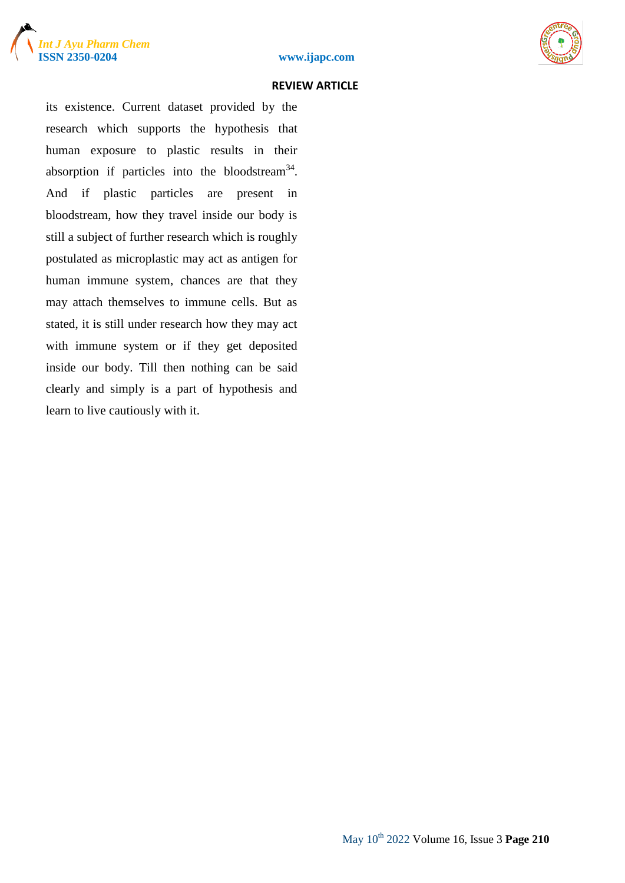





its existence. Current dataset provided by the research which supports the hypothesis that human exposure to plastic results in their absorption if particles into the bloodstream<sup>34</sup>. And if plastic particles are present in bloodstream, how they travel inside our body is still a subject of further research which is roughly postulated as microplastic may act as antigen for human immune system, chances are that they may attach themselves to immune cells. But as stated, it is still under research how they may act with immune system or if they get deposited inside our body. Till then nothing can be said clearly and simply is a part of hypothesis and learn to live cautiously with it.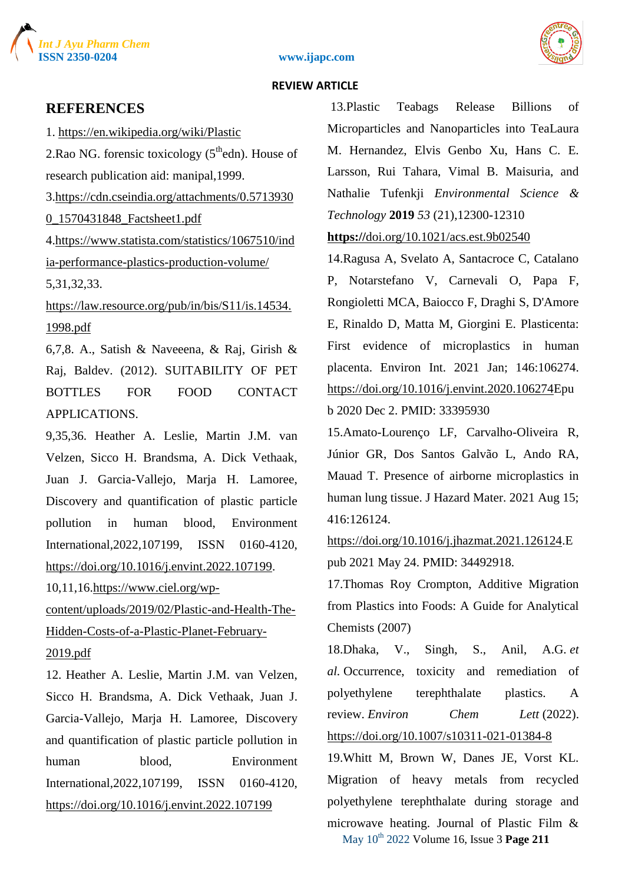

#### **ISSN 2350-0204 www.ijapc.com**



#### **REVIEW ARTICLE**

## **REFERENCES**

1. [https://en.wikipedia.org/wiki/Plastic](about:blank) 2.Rao NG. forensic toxicology  $(5<sup>th</sup>$ edn). House of research publication aid: manipal,1999. 3[.https://cdn.cseindia.org/attachments/0.5713930](about:blank) [0\\_1570431848\\_Factsheet1.pdf](about:blank) 4[.https://www.statista.com/statistics/1067510/ind](about:blank) [ia-performance-plastics-production-volume/](about:blank) 5,31,32,33. [https://law.resource.org/pub/in/bis/S11/is.14534.](about:blank) [1998.pdf](about:blank)

6,7,8. A., Satish & Naveeena, & Raj, Girish & Raj, Baldev. (2012). SUITABILITY OF PET BOTTLES FOR FOOD CONTACT APPLICATIONS.

9,35,36. Heather A. Leslie, Martin J.M. van Velzen, Sicco H. Brandsma, A. Dick Vethaak, Juan J. Garcia-Vallejo, Marja H. Lamoree, Discovery and quantification of plastic particle pollution in human blood, Environment International,2022,107199, ISSN 0160-4120, [https://doi.org/10.1016/j.envint.2022.107199.](about:blank)

10,11,16[.https://www.ciel.org/wp-](about:blank)

[content/uploads/2019/02/Plastic-and-Health-The-](about:blank)

[Hidden-Costs-of-a-Plastic-Planet-February-](about:blank)

#### [2019.pdf](about:blank)

12. Heather A. Leslie, Martin J.M. van Velzen, Sicco H. Brandsma, A. Dick Vethaak, Juan J. Garcia-Vallejo, Marja H. Lamoree, Discovery and quantification of plastic particle pollution in human blood, Environment International,2022,107199, ISSN 0160-4120, [https://doi.org/10.1016/j.envint.2022.107199](about:blank)

13.Plastic Teabags Release Billions of Microparticles and Nanoparticles into TeaLaura M. Hernandez, Elvis Genbo Xu, Hans C. E. Larsson, Rui Tahara, Vimal B. Maisuria, and Nathalie Tufenkji *Environmental Science & Technology* **2019** *53* (21),12300-12310

**https://**[doi.org/10.1021/acs.est.9b02540](about:blank)

14.Ragusa A, Svelato A, Santacroce C, Catalano P, Notarstefano V, Carnevali O, Papa F, Rongioletti MCA, Baiocco F, Draghi S, D'Amore E, Rinaldo D, Matta M, Giorgini E. Plasticenta: First evidence of microplastics in human placenta. Environ Int. 2021 Jan; 146:106274. [https://doi.org/10.1016/j.envint.2020.106274E](about:blank)pu b 2020 Dec 2. PMID: 33395930

15.Amato-Lourenço LF, Carvalho-Oliveira R, Júnior GR, Dos Santos Galvão L, Ando RA, Mauad T. Presence of airborne microplastics in human lung tissue. J Hazard Mater. 2021 Aug 15; 416:126124.

[https://doi.org/10.1016/j.jhazmat.2021.126124.](about:blank)E pub 2021 May 24. PMID: 34492918.

17.Thomas Roy Crompton, Additive Migration from Plastics into Foods: A Guide for Analytical Chemists (2007)

18.Dhaka, V., Singh, S., Anil, A.G. *et al.* Occurrence, toxicity and remediation of polyethylene terephthalate plastics. A review. *Environ Chem Lett* (2022). [https://doi.org/10.1007/s10311-021-01384-8](about:blank)

May 10th 2022 Volume 16, Issue 3 **Page 211** 19.Whitt M, Brown W, Danes JE, Vorst KL. Migration of heavy metals from recycled polyethylene terephthalate during storage and microwave heating. Journal of Plastic Film &